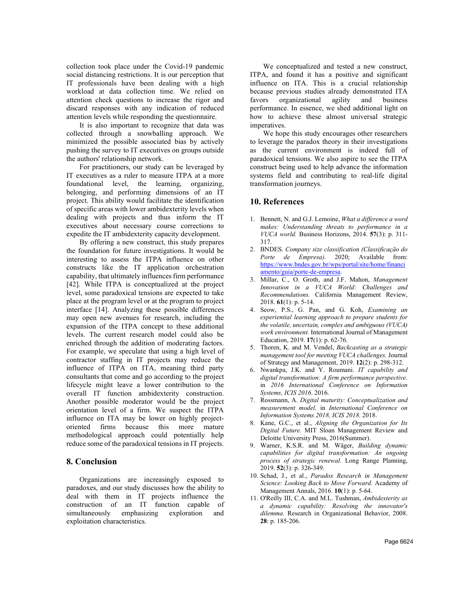collection took place under the Covid-19 pandemic social distancing restrictions. It is our perception that IT professionals have been dealing with a high workload at data collection time. We relied on attention check questions to increase the rigor and discard responses with any indication of reduced attention levels while responding the questionnaire.

It is also important to recognize that data was collected through a snowballing approach. We minimized the possible associated bias by actively pushing the survey to IT executives on groups outside the authors' relationship network.

For practitioners, our study can be leveraged by IT executives as a ruler to measure ITPA at a more foundational level, the learning, organizing, belonging, and performing dimensions of an IT project. This ability would facilitate the identification of specific areas with lower ambidexterity levels when dealing with projects and thus inform the IT executives about necessary course corrections to expedite the IT ambidexterity capacity development.

By offering a new construct, this study prepares the foundation for future investigations. It would be interesting to assess the ITPA influence on other constructs like the IT application orchestration capability, that ultimately influences firm performance [42]. While ITPA is conceptualized at the project level, some paradoxical tensions are expected to take place at the program level or at the program to project interface [14]. Analyzing these possible differences may open new avenues for research, including the expansion of the ITPA concept to these additional levels. The current research model could also be enriched through the addition of moderating factors. For example, we speculate that using a high level of contractor staffing in IT projects may reduce the influence of ITPA on ITA, meaning third party consultants that come and go according to the project lifecycle might leave a lower contribution to the overall IT function ambidexterity construction. Another possible moderator would be the project orientation level of a firm. We suspect the ITPA influence on ITA may be lower on highly projectoriented firms because this more mature methodological approach could potentially help reduce some of the paradoxical tensions in IT projects.

## **8. Conclusion**

Organizations are increasingly exposed to paradoxes, and our study discusses how the ability to deal with them in IT projects influence the construction of an IT function capable of simultaneously emphasizing exploration and exploitation characteristics.

We conceptualized and tested a new construct, ITPA, and found it has a positive and significant influence on ITA. This is a crucial relationship because previous studies already demonstrated ITA favors organizational agility and business performance. In essence, we shed additional light on how to achieve these almost universal strategic imperatives.

We hope this study encourages other researchers to leverage the paradox theory in their investigations as the current environment is indeed full of paradoxical tensions. We also aspire to see the ITPA construct being used to help advance the information systems field and contributing to real-life digital transformation journeys.

## **10. References**

- 1. Bennett, N. and G.J. Lemoine, *What a difference a word makes: Understanding threats to performance in a VUCA world.* Business Horizons, 2014. **57**(3): p. 311- 317.
- 2. BNDES. *Company size classification (Classificação do Porte de Empresa)*. 2020; Available from: https://www.bndes.gov.br/wps/portal/site/home/financi amento/guia/porte-de-empresa.
- 3. Millar, C., O. Groth, and J.F. Mahon, *Management Innovation in a VUCA World: Challenges and Recommendations.* California Management Review, 2018. **61**(1): p. 5-14.
- 4. Seow, P.S., G. Pan, and G. Koh, *Examining an experiential learning approach to prepare students for the volatile, uncertain, complex and ambiguous (VUCA) work environment.* International Journal of Management Education, 2019. **17**(1): p. 62-76.
- 5. Thoren, K. and M. Vendel, *Backcasting as a strategic management tool for meeting VUCA challenges.* Journal of Strategy and Management, 2019. **12**(2): p. 298-312.
- 6. Nwankpa, J.K. and Y. Roumani. *IT capability and digital transformation: A firm performance perspective*. in *2016 International Conference on Information Systems, ICIS 2016*. 2016.
- 7. Rossmann, A. *Digital maturity: Conceptualization and measurement model*. in *International Conference on Information Systems 2018, ICIS 2018*. 2018.
- 8. Kane, G.C., et al., *Aligning the Organization for Its Digital Future.* MIT Sloan Management Review and Deloitte University Press, 2016(Summer).
- 9. Warner, K.S.R. and M. Wäger, *Building dynamic capabilities for digital transformation: An ongoing process of strategic renewal.* Long Range Planning, 2019. **52**(3): p. 326-349.
- 10. Schad, J., et al., *Paradox Research in Management Science: Looking Back to Move Forward.* Academy of Management Annals, 2016. **10**(1): p. 5-64.
- 11. O'Reilly III, C.A. and M.L. Tushman, *Ambidexterity as a dynamic capability: Resolving the innovator's dilemma.* Research in Organizational Behavior, 2008. **28**: p. 185-206.